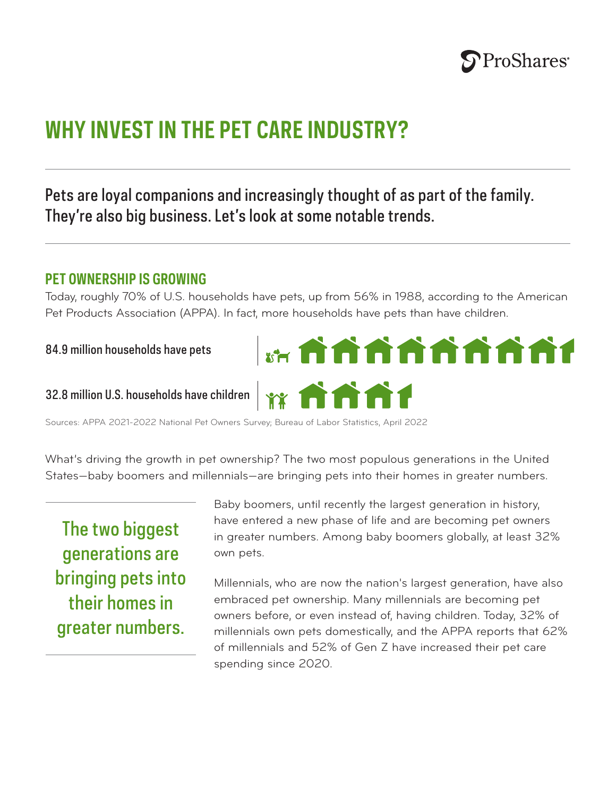

# **WHY INVEST IN THE PET CARE INDUSTRY?**

## Pets are loyal companions and increasingly thought of as part of the family. They're also big business. Let's look at some notable trends.

#### **PET OWNERSHIP IS GROWING**

Today, roughly 70% of U.S. households have pets, up from 56% in 1988, according to the American Pet Products Association (APPA). In fact, more households have pets than have children.

#### 84.9 million households have pets

#### 32.8 million U.S. households have children

Sources: APPA 2021-2022 National Pet Owners Survey; Bureau of Labor Statistics, April 2022

What's driving the growth in pet ownership? The two most populous generations in the United States—baby boomers and millennials—are bringing pets into their homes in greater numbers.

The two biggest generations are bringing pets into their homes in greater numbers.

Baby boomers, until recently the largest generation in history, have entered a new phase of life and are becoming pet owners in greater numbers. Among baby boomers globally, at least 32% own pets.

Millennials, who are now the nation's largest generation, have also embraced pet ownership. Many millennials are becoming pet owners before, or even instead of, having children. Today, 32% of millennials own pets domestically, and the APPA reports that 62% of millennials and 52% of Gen Z have increased their pet care spending since 2020.

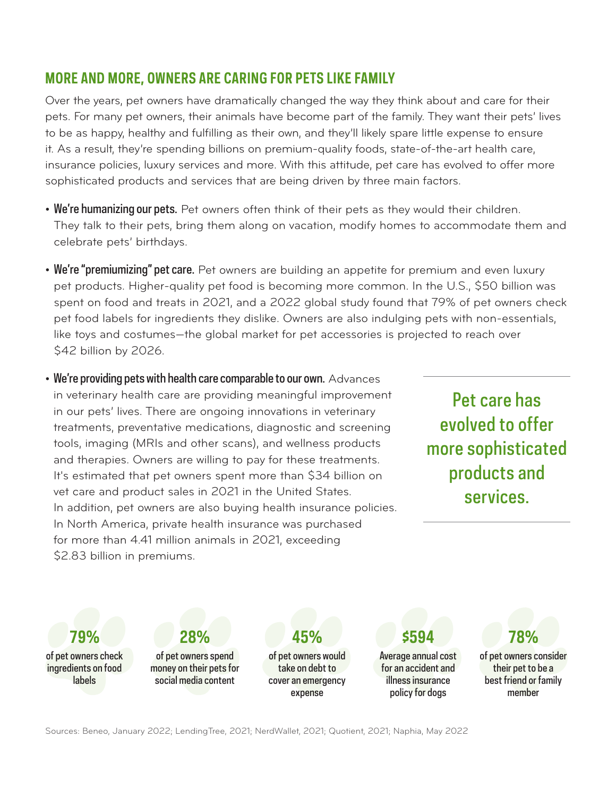### **MORE AND MORE, OWNERS ARE CARING FOR PETS LIKE FAMILY**

Over the years, pet owners have dramatically changed the way they think about and care for their pets. For many pet owners, their animals have become part of the family. They want their pets' lives to be as happy, healthy and fulfilling as their own, and they'll likely spare little expense to ensure it. As a result, they're spending billions on premium-quality foods, state-of-the-art health care, insurance policies, luxury services and more. With this attitude, pet care has evolved to offer more sophisticated products and services that are being driven by three main factors.

- We're humanizing our pets. Pet owners often think of their pets as they would their children. They talk to their pets, bring them along on vacation, modify homes to accommodate them and celebrate pets' birthdays.
- We're "premiumizing" pet care. Pet owners are building an appetite for premium and even luxury pet products. Higher-quality pet food is becoming more common. In the U.S., \$50 billion was spent on food and treats in 2021, and a 2022 global study found that 79% of pet owners check pet food labels for ingredients they dislike. Owners are also indulging pets with non-essentials, like toys and costumes—the global market for pet accessories is projected to reach over \$42 billion by 2026.
- We're providing pets with health care comparable to our own. Advances in veterinary health care are providing meaningful improvement in our pets' lives. There are ongoing innovations in veterinary treatments, preventative medications, diagnostic and screening tools, imaging (MRIs and other scans), and wellness products and therapies. Owners are willing to pay for these treatments. It's estimated that pet owners spent more than \$34 billion on vet care and product sales in 2021 in the United States. In addition, pet owners are also buying health insurance policies. In North America, private health insurance was purchased for more than 4.41 million animals in 2021, exceeding \$2.83 billion in premiums.

Pet care has evolved to offer more sophisticated products and services.

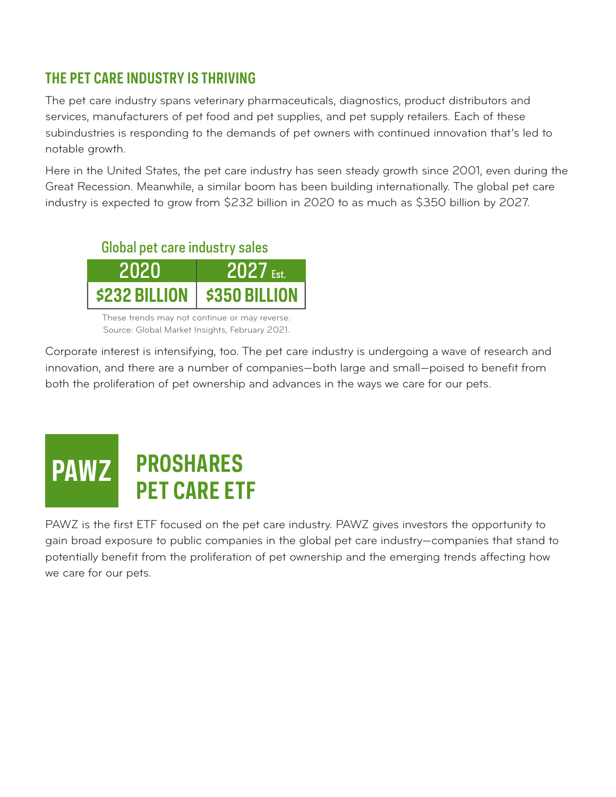## **THE PET CARE INDUSTRY IS THRIVING**

The pet care industry spans veterinary pharmaceuticals, diagnostics, product distributors and services, manufacturers of pet food and pet supplies, and pet supply retailers. Each of these subindustries is responding to the demands of pet owners with continued innovation that's led to notable growth.

Here in the United States, the pet care industry has seen steady growth since 2001, even during the Great Recession. Meanwhile, a similar boom has been building internationally. The global pet care industry is expected to grow from \$232 billion in 2020 to as much as \$350 billion by 2027.

## Global pet care industry sales



These trends may not continue or may reverse. Source: Global Market Insights, February 2021.

Corporate interest is intensifying, too. The pet care industry is undergoing a wave of research and innovation, and there are a number of companies—both large and small—poised to benefit from both the proliferation of pet ownership and advances in the ways we care for our pets.

# **PROSHARES PET CARE ETF PAWZ**

PAWZ is the first ETF focused on the pet care industry. PAWZ gives investors the opportunity to gain broad exposure to public companies in the global pet care industry—companies that stand to potentially benefit from the proliferation of pet ownership and the emerging trends affecting how we care for our pets.